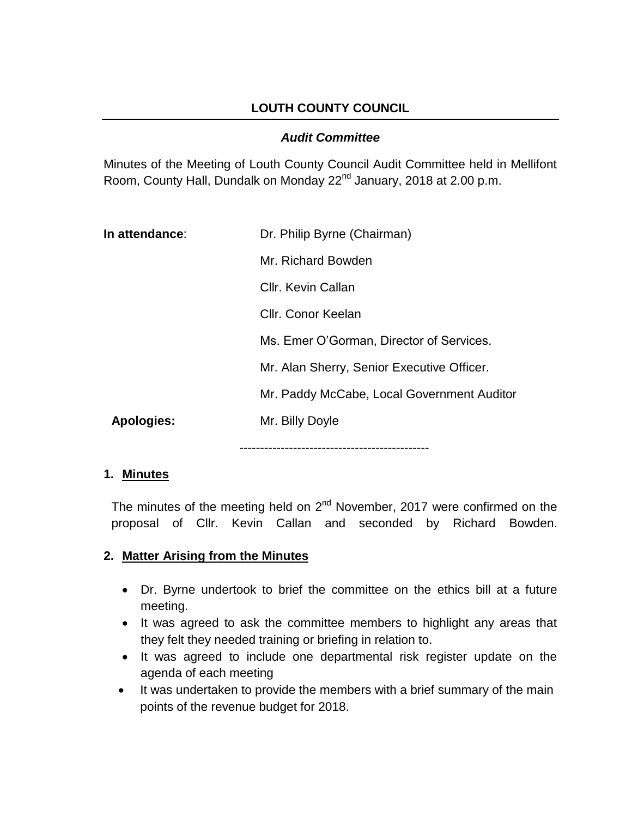# **LOUTH COUNTY COUNCIL**

#### *Audit Committee*

Minutes of the Meeting of Louth County Council Audit Committee held in Mellifont Room, County Hall, Dundalk on Monday 22<sup>nd</sup> January, 2018 at 2.00 p.m.

| In attendance: | Dr. Philip Byrne (Chairman)                |
|----------------|--------------------------------------------|
|                | Mr. Richard Bowden                         |
|                | Cllr. Kevin Callan                         |
|                | Cllr. Conor Keelan                         |
|                | Ms. Emer O'Gorman, Director of Services.   |
|                | Mr. Alan Sherry, Senior Executive Officer. |
|                | Mr. Paddy McCabe, Local Government Auditor |
| Apologies:     | Mr. Billy Doyle                            |
|                | ------------------------                   |

#### **1. Minutes**

The minutes of the meeting held on  $2^{nd}$  November, 2017 were confirmed on the proposal of Cllr. Kevin Callan and seconded by Richard Bowden.

#### **2. Matter Arising from the Minutes**

- Dr. Byrne undertook to brief the committee on the ethics bill at a future meeting.
- It was agreed to ask the committee members to highlight any areas that they felt they needed training or briefing in relation to.
- It was agreed to include one departmental risk register update on the agenda of each meeting
- It was undertaken to provide the members with a brief summary of the main points of the revenue budget for 2018.